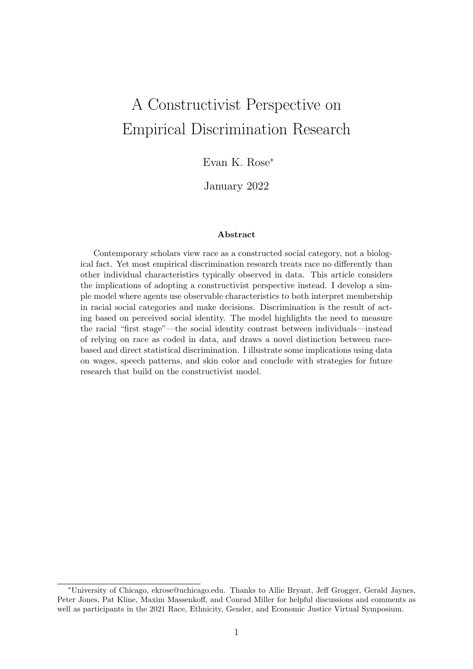# A Constructivist Perspective on Empirical Discrimination Research

Evan K. Rose<sup>∗</sup>

January 2022

#### Abstract

Contemporary scholars view race as a constructed social category, not a biological fact. Yet most empirical discrimination research treats race no differently than other individual characteristics typically observed in data. This article considers the implications of adopting a constructivist perspective instead. I develop a simple model where agents use observable characteristics to both interpret membership in racial social categories and make decisions. Discrimination is the result of acting based on perceived social identity. The model highlights the need to measure the racial "first stage"—the social identity contrast between individuals—instead of relying on race as coded in data, and draws a novel distinction between racebased and direct statistical discrimination. I illustrate some implications using data on wages, speech patterns, and skin color and conclude with strategies for future research that build on the constructivist model.

<sup>∗</sup>University of Chicago, ekrose@uchicago.edu. Thanks to Allie Bryant, Jeff Grogger, Gerald Jaynes, Peter Jones, Pat Kline, Maxim Massenkoff, and Conrad Miller for helpful discussions and comments as well as participants in the 2021 Race, Ethnicity, Gender, and Economic Justice Virtual Symposium.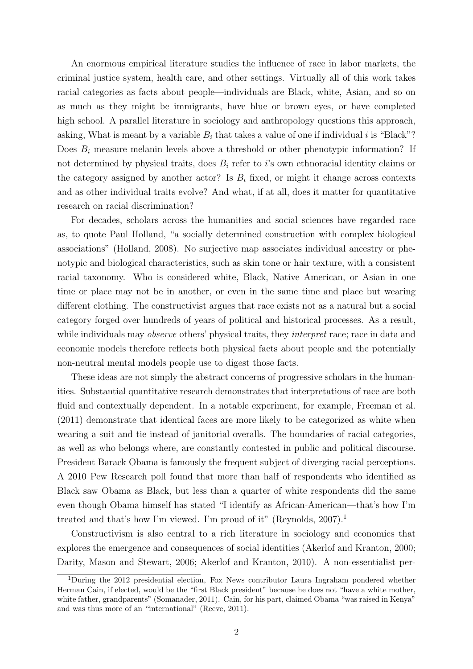An enormous empirical literature studies the influence of race in labor markets, the criminal justice system, health care, and other settings. Virtually all of this work takes racial categories as facts about people—individuals are Black, white, Asian, and so on as much as they might be immigrants, have blue or brown eyes, or have completed high school. A parallel literature in sociology and anthropology questions this approach, asking, What is meant by a variable  $B_i$  that takes a value of one if individual i is "Black"? Does  $B_i$  measure melanin levels above a threshold or other phenotypic information? If not determined by physical traits, does  $B_i$  refer to i's own ethnoracial identity claims or the category assigned by another actor? Is  $B_i$  fixed, or might it change across contexts and as other individual traits evolve? And what, if at all, does it matter for quantitative research on racial discrimination?

For decades, scholars across the humanities and social sciences have regarded race as, to quote Paul Holland, "a socially determined construction with complex biological associations" (Holland, 2008). No surjective map associates individual ancestry or phenotypic and biological characteristics, such as skin tone or hair texture, with a consistent racial taxonomy. Who is considered white, Black, Native American, or Asian in one time or place may not be in another, or even in the same time and place but wearing different clothing. The constructivist argues that race exists not as a natural but a social category forged over hundreds of years of political and historical processes. As a result, while individuals may *observe* others' physical traits, they *interpret* race; race in data and economic models therefore reflects both physical facts about people and the potentially non-neutral mental models people use to digest those facts.

These ideas are not simply the abstract concerns of progressive scholars in the humanities. Substantial quantitative research demonstrates that interpretations of race are both fluid and contextually dependent. In a notable experiment, for example, Freeman et al. (2011) demonstrate that identical faces are more likely to be categorized as white when wearing a suit and tie instead of janitorial overalls. The boundaries of racial categories, as well as who belongs where, are constantly contested in public and political discourse. President Barack Obama is famously the frequent subject of diverging racial perceptions. A 2010 Pew Research poll found that more than half of respondents who identified as Black saw Obama as Black, but less than a quarter of white respondents did the same even though Obama himself has stated "I identify as African-American—that's how I'm treated and that's how I'm viewed. I'm proud of it" (Reynolds, 2007).<sup>1</sup>

Constructivism is also central to a rich literature in sociology and economics that explores the emergence and consequences of social identities (Akerlof and Kranton, 2000; Darity, Mason and Stewart, 2006; Akerlof and Kranton, 2010). A non-essentialist per-

<sup>1</sup>During the 2012 presidential election, Fox News contributor Laura Ingraham pondered whether Herman Cain, if elected, would be the "first Black president" because he does not "have a white mother, white father, grandparents" (Somanader, 2011). Cain, for his part, claimed Obama "was raised in Kenya" and was thus more of an "international" (Reeve, 2011).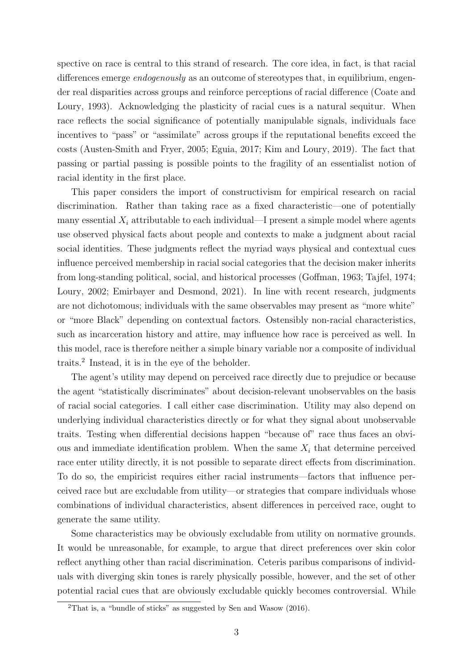spective on race is central to this strand of research. The core idea, in fact, is that racial differences emerge *endogenously* as an outcome of stereotypes that, in equilibrium, engender real disparities across groups and reinforce perceptions of racial difference (Coate and Loury, 1993). Acknowledging the plasticity of racial cues is a natural sequitur. When race reflects the social significance of potentially manipulable signals, individuals face incentives to "pass" or "assimilate" across groups if the reputational benefits exceed the costs (Austen-Smith and Fryer, 2005; Eguia, 2017; Kim and Loury, 2019). The fact that passing or partial passing is possible points to the fragility of an essentialist notion of racial identity in the first place.

This paper considers the import of constructivism for empirical research on racial discrimination. Rather than taking race as a fixed characteristic—one of potentially many essential  $X_i$  attributable to each individual—I present a simple model where agents use observed physical facts about people and contexts to make a judgment about racial social identities. These judgments reflect the myriad ways physical and contextual cues influence perceived membership in racial social categories that the decision maker inherits from long-standing political, social, and historical processes (Goffman, 1963; Tajfel, 1974; Loury, 2002; Emirbayer and Desmond, 2021). In line with recent research, judgments are not dichotomous; individuals with the same observables may present as "more white" or "more Black" depending on contextual factors. Ostensibly non-racial characteristics, such as incarceration history and attire, may influence how race is perceived as well. In this model, race is therefore neither a simple binary variable nor a composite of individual traits.<sup>2</sup> Instead, it is in the eye of the beholder.

The agent's utility may depend on perceived race directly due to prejudice or because the agent "statistically discriminates" about decision-relevant unobservables on the basis of racial social categories. I call either case discrimination. Utility may also depend on underlying individual characteristics directly or for what they signal about unobservable traits. Testing when differential decisions happen "because of" race thus faces an obvious and immediate identification problem. When the same  $X_i$  that determine perceived race enter utility directly, it is not possible to separate direct effects from discrimination. To do so, the empiricist requires either racial instruments—factors that influence perceived race but are excludable from utility—or strategies that compare individuals whose combinations of individual characteristics, absent differences in perceived race, ought to generate the same utility.

Some characteristics may be obviously excludable from utility on normative grounds. It would be unreasonable, for example, to argue that direct preferences over skin color reflect anything other than racial discrimination. Ceteris paribus comparisons of individuals with diverging skin tones is rarely physically possible, however, and the set of other potential racial cues that are obviously excludable quickly becomes controversial. While

 $2$ That is, a "bundle of sticks" as suggested by Sen and Wasow (2016).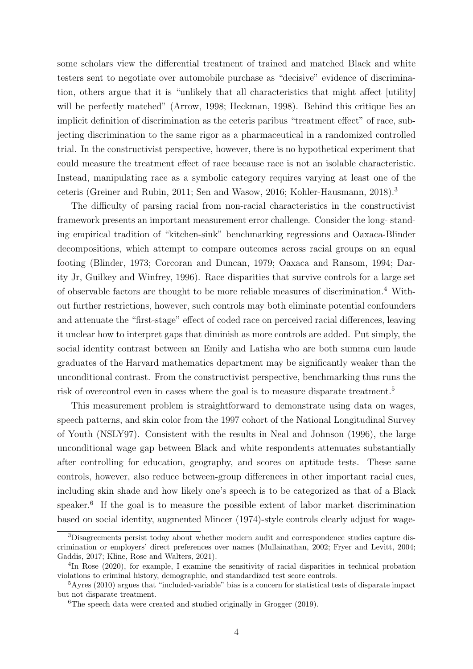some scholars view the differential treatment of trained and matched Black and white testers sent to negotiate over automobile purchase as "decisive" evidence of discrimination, others argue that it is "unlikely that all characteristics that might affect [utility] will be perfectly matched" (Arrow, 1998; Heckman, 1998). Behind this critique lies an implicit definition of discrimination as the ceteris paribus "treatment effect" of race, subjecting discrimination to the same rigor as a pharmaceutical in a randomized controlled trial. In the constructivist perspective, however, there is no hypothetical experiment that could measure the treatment effect of race because race is not an isolable characteristic. Instead, manipulating race as a symbolic category requires varying at least one of the ceteris (Greiner and Rubin, 2011; Sen and Wasow, 2016; Kohler-Hausmann, 2018).<sup>3</sup>

The difficulty of parsing racial from non-racial characteristics in the constructivist framework presents an important measurement error challenge. Consider the long- standing empirical tradition of "kitchen-sink" benchmarking regressions and Oaxaca-Blinder decompositions, which attempt to compare outcomes across racial groups on an equal footing (Blinder, 1973; Corcoran and Duncan, 1979; Oaxaca and Ransom, 1994; Darity Jr, Guilkey and Winfrey, 1996). Race disparities that survive controls for a large set of observable factors are thought to be more reliable measures of discrimination.<sup>4</sup> Without further restrictions, however, such controls may both eliminate potential confounders and attenuate the "first-stage" effect of coded race on perceived racial differences, leaving it unclear how to interpret gaps that diminish as more controls are added. Put simply, the social identity contrast between an Emily and Latisha who are both summa cum laude graduates of the Harvard mathematics department may be significantly weaker than the unconditional contrast. From the constructivist perspective, benchmarking thus runs the risk of overcontrol even in cases where the goal is to measure disparate treatment.<sup>5</sup>

This measurement problem is straightforward to demonstrate using data on wages, speech patterns, and skin color from the 1997 cohort of the National Longitudinal Survey of Youth (NSLY97). Consistent with the results in Neal and Johnson (1996), the large unconditional wage gap between Black and white respondents attenuates substantially after controlling for education, geography, and scores on aptitude tests. These same controls, however, also reduce between-group differences in other important racial cues, including skin shade and how likely one's speech is to be categorized as that of a Black speaker.<sup>6</sup> If the goal is to measure the possible extent of labor market discrimination based on social identity, augmented Mincer (1974)-style controls clearly adjust for wage-

<sup>3</sup>Disagreements persist today about whether modern audit and correspondence studies capture discrimination or employers' direct preferences over names (Mullainathan, 2002; Fryer and Levitt, 2004; Gaddis, 2017; Kline, Rose and Walters, 2021).

<sup>&</sup>lt;sup>4</sup>In Rose (2020), for example, I examine the sensitivity of racial disparities in technical probation violations to criminal history, demographic, and standardized test score controls.

 $5Ayres$  (2010) argues that "included-variable" bias is a concern for statistical tests of disparate impact but not disparate treatment.

 ${}^{6}$ The speech data were created and studied originally in Grogger (2019).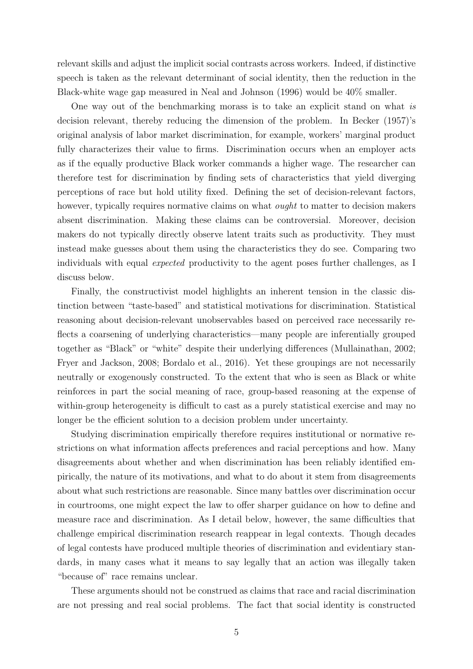relevant skills and adjust the implicit social contrasts across workers. Indeed, if distinctive speech is taken as the relevant determinant of social identity, then the reduction in the Black-white wage gap measured in Neal and Johnson (1996) would be 40% smaller.

One way out of the benchmarking morass is to take an explicit stand on what is decision relevant, thereby reducing the dimension of the problem. In Becker (1957)'s original analysis of labor market discrimination, for example, workers' marginal product fully characterizes their value to firms. Discrimination occurs when an employer acts as if the equally productive Black worker commands a higher wage. The researcher can therefore test for discrimination by finding sets of characteristics that yield diverging perceptions of race but hold utility fixed. Defining the set of decision-relevant factors, however, typically requires normative claims on what *ought* to matter to decision makers absent discrimination. Making these claims can be controversial. Moreover, decision makers do not typically directly observe latent traits such as productivity. They must instead make guesses about them using the characteristics they do see. Comparing two individuals with equal expected productivity to the agent poses further challenges, as I discuss below.

Finally, the constructivist model highlights an inherent tension in the classic distinction between "taste-based" and statistical motivations for discrimination. Statistical reasoning about decision-relevant unobservables based on perceived race necessarily reflects a coarsening of underlying characteristics—many people are inferentially grouped together as "Black" or "white" despite their underlying differences (Mullainathan, 2002; Fryer and Jackson, 2008; Bordalo et al., 2016). Yet these groupings are not necessarily neutrally or exogenously constructed. To the extent that who is seen as Black or white reinforces in part the social meaning of race, group-based reasoning at the expense of within-group heterogeneity is difficult to cast as a purely statistical exercise and may no longer be the efficient solution to a decision problem under uncertainty.

Studying discrimination empirically therefore requires institutional or normative restrictions on what information affects preferences and racial perceptions and how. Many disagreements about whether and when discrimination has been reliably identified empirically, the nature of its motivations, and what to do about it stem from disagreements about what such restrictions are reasonable. Since many battles over discrimination occur in courtrooms, one might expect the law to offer sharper guidance on how to define and measure race and discrimination. As I detail below, however, the same difficulties that challenge empirical discrimination research reappear in legal contexts. Though decades of legal contests have produced multiple theories of discrimination and evidentiary standards, in many cases what it means to say legally that an action was illegally taken "because of" race remains unclear.

These arguments should not be construed as claims that race and racial discrimination are not pressing and real social problems. The fact that social identity is constructed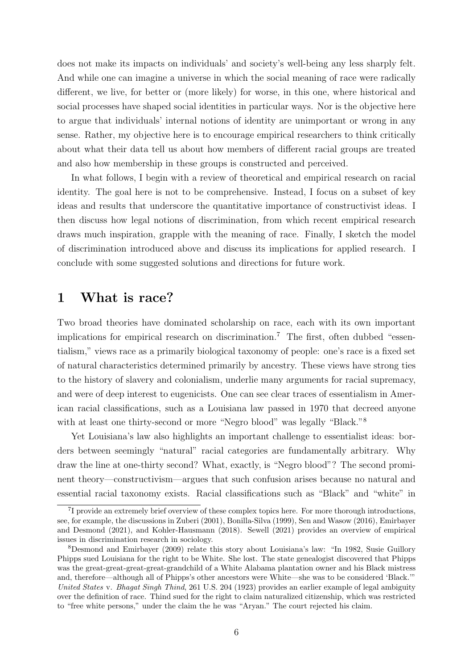does not make its impacts on individuals' and society's well-being any less sharply felt. And while one can imagine a universe in which the social meaning of race were radically different, we live, for better or (more likely) for worse, in this one, where historical and social processes have shaped social identities in particular ways. Nor is the objective here to argue that individuals' internal notions of identity are unimportant or wrong in any sense. Rather, my objective here is to encourage empirical researchers to think critically about what their data tell us about how members of different racial groups are treated and also how membership in these groups is constructed and perceived.

In what follows, I begin with a review of theoretical and empirical research on racial identity. The goal here is not to be comprehensive. Instead, I focus on a subset of key ideas and results that underscore the quantitative importance of constructivist ideas. I then discuss how legal notions of discrimination, from which recent empirical research draws much inspiration, grapple with the meaning of race. Finally, I sketch the model of discrimination introduced above and discuss its implications for applied research. I conclude with some suggested solutions and directions for future work.

## 1 What is race?

Two broad theories have dominated scholarship on race, each with its own important implications for empirical research on discrimination.<sup>7</sup> The first, often dubbed "essentialism," views race as a primarily biological taxonomy of people: one's race is a fixed set of natural characteristics determined primarily by ancestry. These views have strong ties to the history of slavery and colonialism, underlie many arguments for racial supremacy, and were of deep interest to eugenicists. One can see clear traces of essentialism in American racial classifications, such as a Louisiana law passed in 1970 that decreed anyone with at least one thirty-second or more "Negro blood" was legally "Black."<sup>8</sup>

Yet Louisiana's law also highlights an important challenge to essentialist ideas: borders between seemingly "natural" racial categories are fundamentally arbitrary. Why draw the line at one-thirty second? What, exactly, is "Negro blood"? The second prominent theory—constructivism—argues that such confusion arises because no natural and essential racial taxonomy exists. Racial classifications such as "Black" and "white" in

<sup>&</sup>lt;sup>7</sup>I provide an extremely brief overview of these complex topics here. For more thorough introductions, see, for example, the discussions in Zuberi (2001), Bonilla-Silva (1999), Sen and Wasow (2016), Emirbayer and Desmond (2021), and Kohler-Hausmann (2018). Sewell (2021) provides an overview of empirical issues in discrimination research in sociology.

<sup>8</sup>Desmond and Emirbayer (2009) relate this story about Louisiana's law: "In 1982, Susie Guillory Phipps sued Louisiana for the right to be White. She lost. The state genealogist discovered that Phipps was the great-great-great-great-grandchild of a White Alabama plantation owner and his Black mistress and, therefore—although all of Phipps's other ancestors were White—she was to be considered 'Black.'" United States v. Bhagat Singh Thind, 261 U.S. 204 (1923) provides an earlier example of legal ambiguity over the definition of race. Thind sued for the right to claim naturalized citizenship, which was restricted to "free white persons," under the claim the he was "Aryan." The court rejected his claim.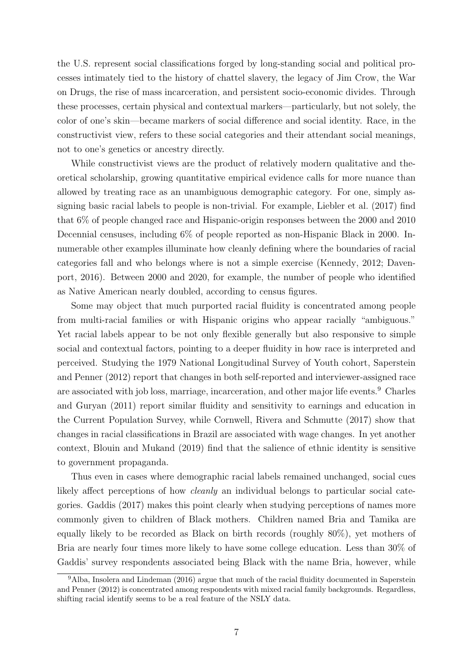the U.S. represent social classifications forged by long-standing social and political processes intimately tied to the history of chattel slavery, the legacy of Jim Crow, the War on Drugs, the rise of mass incarceration, and persistent socio-economic divides. Through these processes, certain physical and contextual markers—particularly, but not solely, the color of one's skin—became markers of social difference and social identity. Race, in the constructivist view, refers to these social categories and their attendant social meanings, not to one's genetics or ancestry directly.

While constructivist views are the product of relatively modern qualitative and theoretical scholarship, growing quantitative empirical evidence calls for more nuance than allowed by treating race as an unambiguous demographic category. For one, simply assigning basic racial labels to people is non-trivial. For example, Liebler et al. (2017) find that 6% of people changed race and Hispanic-origin responses between the 2000 and 2010 Decennial censuses, including 6% of people reported as non-Hispanic Black in 2000. Innumerable other examples illuminate how cleanly defining where the boundaries of racial categories fall and who belongs where is not a simple exercise (Kennedy, 2012; Davenport, 2016). Between 2000 and 2020, for example, the number of people who identified as Native American nearly doubled, according to census figures.

Some may object that much purported racial fluidity is concentrated among people from multi-racial families or with Hispanic origins who appear racially "ambiguous." Yet racial labels appear to be not only flexible generally but also responsive to simple social and contextual factors, pointing to a deeper fluidity in how race is interpreted and perceived. Studying the 1979 National Longitudinal Survey of Youth cohort, Saperstein and Penner (2012) report that changes in both self-reported and interviewer-assigned race are associated with job loss, marriage, incarceration, and other major life events.<sup>9</sup> Charles and Guryan (2011) report similar fluidity and sensitivity to earnings and education in the Current Population Survey, while Cornwell, Rivera and Schmutte (2017) show that changes in racial classifications in Brazil are associated with wage changes. In yet another context, Blouin and Mukand (2019) find that the salience of ethnic identity is sensitive to government propaganda.

Thus even in cases where demographic racial labels remained unchanged, social cues likely affect perceptions of how *cleanly* an individual belongs to particular social categories. Gaddis (2017) makes this point clearly when studying perceptions of names more commonly given to children of Black mothers. Children named Bria and Tamika are equally likely to be recorded as Black on birth records (roughly 80%), yet mothers of Bria are nearly four times more likely to have some college education. Less than 30% of Gaddis' survey respondents associated being Black with the name Bria, however, while

<sup>9</sup>Alba, Insolera and Lindeman (2016) argue that much of the racial fluidity documented in Saperstein and Penner (2012) is concentrated among respondents with mixed racial family backgrounds. Regardless, shifting racial identify seems to be a real feature of the NSLY data.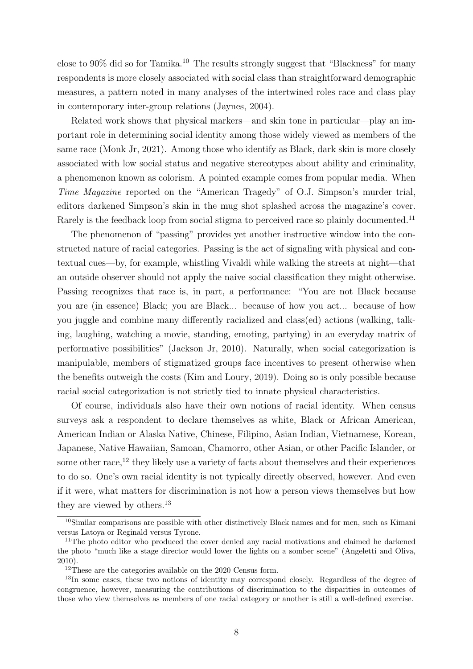close to  $90\%$  did so for Tamika.<sup>10</sup> The results strongly suggest that "Blackness" for many respondents is more closely associated with social class than straightforward demographic measures, a pattern noted in many analyses of the intertwined roles race and class play in contemporary inter-group relations (Jaynes, 2004).

Related work shows that physical markers—and skin tone in particular—play an important role in determining social identity among those widely viewed as members of the same race (Monk Jr, 2021). Among those who identify as Black, dark skin is more closely associated with low social status and negative stereotypes about ability and criminality, a phenomenon known as colorism. A pointed example comes from popular media. When Time Magazine reported on the "American Tragedy" of O.J. Simpson's murder trial, editors darkened Simpson's skin in the mug shot splashed across the magazine's cover. Rarely is the feedback loop from social stigma to perceived race so plainly documented.<sup>11</sup>

The phenomenon of "passing" provides yet another instructive window into the constructed nature of racial categories. Passing is the act of signaling with physical and contextual cues—by, for example, whistling Vivaldi while walking the streets at night—that an outside observer should not apply the naive social classification they might otherwise. Passing recognizes that race is, in part, a performance: "You are not Black because you are (in essence) Black; you are Black... because of how you act... because of how you juggle and combine many differently racialized and class(ed) actions (walking, talking, laughing, watching a movie, standing, emoting, partying) in an everyday matrix of performative possibilities" (Jackson Jr, 2010). Naturally, when social categorization is manipulable, members of stigmatized groups face incentives to present otherwise when the benefits outweigh the costs (Kim and Loury, 2019). Doing so is only possible because racial social categorization is not strictly tied to innate physical characteristics.

Of course, individuals also have their own notions of racial identity. When census surveys ask a respondent to declare themselves as white, Black or African American, American Indian or Alaska Native, Chinese, Filipino, Asian Indian, Vietnamese, Korean, Japanese, Native Hawaiian, Samoan, Chamorro, other Asian, or other Pacific Islander, or some other race,<sup>12</sup> they likely use a variety of facts about themselves and their experiences to do so. One's own racial identity is not typically directly observed, however. And even if it were, what matters for discrimination is not how a person views themselves but how they are viewed by others.<sup>13</sup>

<sup>10</sup>Similar comparisons are possible with other distinctively Black names and for men, such as Kimani versus Latoya or Reginald versus Tyrone.

<sup>&</sup>lt;sup>11</sup>The photo editor who produced the cover denied any racial motivations and claimed he darkened the photo "much like a stage director would lower the lights on a somber scene" (Angeletti and Oliva, 2010).

<sup>&</sup>lt;sup>12</sup>These are the categories available on the 2020 Census form.

<sup>&</sup>lt;sup>13</sup>In some cases, these two notions of identity may correspond closely. Regardless of the degree of congruence, however, measuring the contributions of discrimination to the disparities in outcomes of those who view themselves as members of one racial category or another is still a well-defined exercise.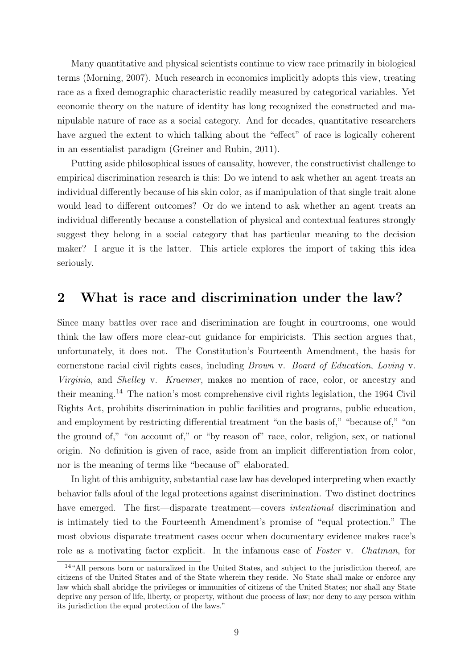Many quantitative and physical scientists continue to view race primarily in biological terms (Morning, 2007). Much research in economics implicitly adopts this view, treating race as a fixed demographic characteristic readily measured by categorical variables. Yet economic theory on the nature of identity has long recognized the constructed and manipulable nature of race as a social category. And for decades, quantitative researchers have argued the extent to which talking about the "effect" of race is logically coherent in an essentialist paradigm (Greiner and Rubin, 2011).

Putting aside philosophical issues of causality, however, the constructivist challenge to empirical discrimination research is this: Do we intend to ask whether an agent treats an individual differently because of his skin color, as if manipulation of that single trait alone would lead to different outcomes? Or do we intend to ask whether an agent treats an individual differently because a constellation of physical and contextual features strongly suggest they belong in a social category that has particular meaning to the decision maker? I argue it is the latter. This article explores the import of taking this idea seriously.

## 2 What is race and discrimination under the law?

Since many battles over race and discrimination are fought in courtrooms, one would think the law offers more clear-cut guidance for empiricists. This section argues that, unfortunately, it does not. The Constitution's Fourteenth Amendment, the basis for cornerstone racial civil rights cases, including Brown v. Board of Education, Loving v. Virginia, and Shelley v. Kraemer, makes no mention of race, color, or ancestry and their meaning.<sup>14</sup> The nation's most comprehensive civil rights legislation, the 1964 Civil Rights Act, prohibits discrimination in public facilities and programs, public education, and employment by restricting differential treatment "on the basis of," "because of," "on the ground of," "on account of," or "by reason of" race, color, religion, sex, or national origin. No definition is given of race, aside from an implicit differentiation from color, nor is the meaning of terms like "because of" elaborated.

In light of this ambiguity, substantial case law has developed interpreting when exactly behavior falls afoul of the legal protections against discrimination. Two distinct doctrines have emerged. The first—disparate treatment—covers *intentional* discrimination and is intimately tied to the Fourteenth Amendment's promise of "equal protection." The most obvious disparate treatment cases occur when documentary evidence makes race's role as a motivating factor explicit. In the infamous case of Foster v. Chatman, for

<sup>14</sup>"All persons born or naturalized in the United States, and subject to the jurisdiction thereof, are citizens of the United States and of the State wherein they reside. No State shall make or enforce any law which shall abridge the privileges or immunities of citizens of the United States; nor shall any State deprive any person of life, liberty, or property, without due process of law; nor deny to any person within its jurisdiction the equal protection of the laws."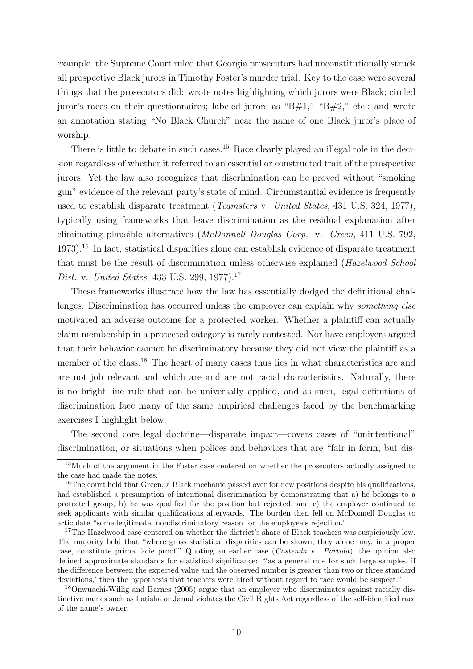example, the Supreme Court ruled that Georgia prosecutors had unconstitutionally struck all prospective Black jurors in Timothy Foster's murder trial. Key to the case were several things that the prosecutors did: wrote notes highlighting which jurors were Black; circled juror's races on their questionnaires; labeled jurors as "B#1," "B#2," etc.; and wrote an annotation stating "No Black Church" near the name of one Black juror's place of worship.

There is little to debate in such cases.<sup>15</sup> Race clearly played an illegal role in the decision regardless of whether it referred to an essential or constructed trait of the prospective jurors. Yet the law also recognizes that discrimination can be proved without "smoking gun" evidence of the relevant party's state of mind. Circumstantial evidence is frequently used to establish disparate treatment (Teamsters v. United States, 431 U.S. 324, 1977), typically using frameworks that leave discrimination as the residual explanation after eliminating plausible alternatives (McDonnell Douglas Corp. v. Green, 411 U.S. 792, 1973).<sup>16</sup> In fact, statistical disparities alone can establish evidence of disparate treatment that must be the result of discrimination unless otherwise explained (Hazelwood School Dist. v. United States, 433 U.S. 299, 1977).<sup>17</sup>

These frameworks illustrate how the law has essentially dodged the definitional challenges. Discrimination has occurred unless the employer can explain why *something else* motivated an adverse outcome for a protected worker. Whether a plaintiff can actually claim membership in a protected category is rarely contested. Nor have employers argued that their behavior cannot be discriminatory because they did not view the plaintiff as a member of the class.<sup>18</sup> The heart of many cases thus lies in what characteristics are and are not job relevant and which are and are not racial characteristics. Naturally, there is no bright line rule that can be universally applied, and as such, legal definitions of discrimination face many of the same empirical challenges faced by the benchmarking exercises I highlight below.

The second core legal doctrine—disparate impact—covers cases of "unintentional" discrimination, or situations when polices and behaviors that are "fair in form, but dis-

<sup>&</sup>lt;sup>15</sup>Much of the argument in the Foster case centered on whether the prosecutors actually assigned to the case had made the notes.

<sup>&</sup>lt;sup>16</sup>The court held that Green, a Black mechanic passed over for new positions despite his qualifications, had established a presumption of intentional discrimination by demonstrating that a) he belongs to a protected group, b) he was qualified for the position but rejected, and c) the employer continued to seek applicants with similar qualifications afterwards. The burden then fell on McDonnell Douglas to articulate "some legitimate, nondiscriminatory reason for the employee's rejection."

<sup>&</sup>lt;sup>17</sup>The Hazelwood case centered on whether the district's share of Black teachers was suspiciously low. The majority held that "where gross statistical disparities can be shown, they alone may, in a proper case, constitute prima facie proof." Quoting an earlier case (Castenda v. Partida), the opinion also defined approximate standards for statistical significance: "'as a general rule for such large samples, if the difference between the expected value and the observed number is greater than two or three standard deviations,' then the hypothesis that teachers were hired without regard to race would be suspect."

<sup>18</sup>Onwuachi-Willig and Barnes (2005) argue that an employer who discriminates against racially distinctive names such as Latisha or Jamal violates the Civil Rights Act regardless of the self-identified race of the name's owner.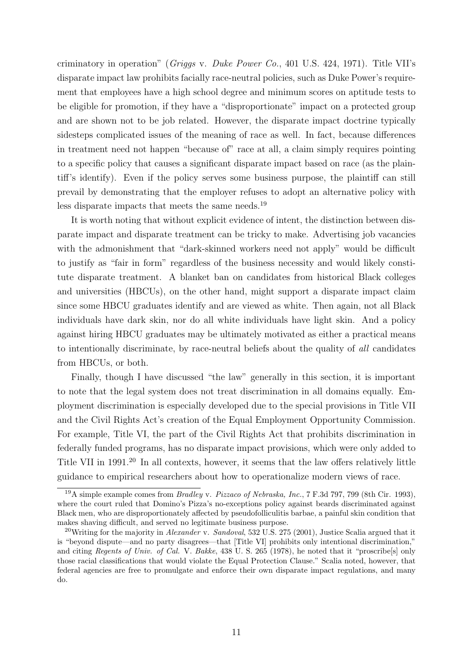criminatory in operation" ( $Griggs$  v. Duke Power Co., 401 U.S. 424, 1971). Title VII's disparate impact law prohibits facially race-neutral policies, such as Duke Power's requirement that employees have a high school degree and minimum scores on aptitude tests to be eligible for promotion, if they have a "disproportionate" impact on a protected group and are shown not to be job related. However, the disparate impact doctrine typically sidesteps complicated issues of the meaning of race as well. In fact, because differences in treatment need not happen "because of" race at all, a claim simply requires pointing to a specific policy that causes a significant disparate impact based on race (as the plaintiff's identify). Even if the policy serves some business purpose, the plaintiff can still prevail by demonstrating that the employer refuses to adopt an alternative policy with less disparate impacts that meets the same needs.<sup>19</sup>

It is worth noting that without explicit evidence of intent, the distinction between disparate impact and disparate treatment can be tricky to make. Advertising job vacancies with the admonishment that "dark-skinned workers need not apply" would be difficult to justify as "fair in form" regardless of the business necessity and would likely constitute disparate treatment. A blanket ban on candidates from historical Black colleges and universities (HBCUs), on the other hand, might support a disparate impact claim since some HBCU graduates identify and are viewed as white. Then again, not all Black individuals have dark skin, nor do all white individuals have light skin. And a policy against hiring HBCU graduates may be ultimately motivated as either a practical means to intentionally discriminate, by race-neutral beliefs about the quality of all candidates from HBCUs, or both.

Finally, though I have discussed "the law" generally in this section, it is important to note that the legal system does not treat discrimination in all domains equally. Employment discrimination is especially developed due to the special provisions in Title VII and the Civil Rights Act's creation of the Equal Employment Opportunity Commission. For example, Title VI, the part of the Civil Rights Act that prohibits discrimination in federally funded programs, has no disparate impact provisions, which were only added to Title VII in 1991.<sup>20</sup> In all contexts, however, it seems that the law offers relatively little guidance to empirical researchers about how to operationalize modern views of race.

<sup>&</sup>lt;sup>19</sup>A simple example comes from *Bradley v. Pizzaco of Nebraska, Inc.*, 7 F.3d 797, 799 (8th Cir. 1993), where the court ruled that Domino's Pizza's no-exceptions policy against beards discriminated against Black men, who are disproportionately affected by pseudofolliculitis barbae, a painful skin condition that makes shaving difficult, and served no legitimate business purpose.

<sup>&</sup>lt;sup>20</sup>Writing for the majority in *Alexander* v. Sandoval, 532 U.S. 275 (2001), Justice Scalia argued that it is "beyond dispute—and no party disagrees—that [Title VI] prohibits only intentional discrimination," and citing Regents of Univ. of Cal. V. Bakke, 438 U. S. 265 (1978), he noted that it "proscribe[s] only those racial classifications that would violate the Equal Protection Clause." Scalia noted, however, that federal agencies are free to promulgate and enforce their own disparate impact regulations, and many do.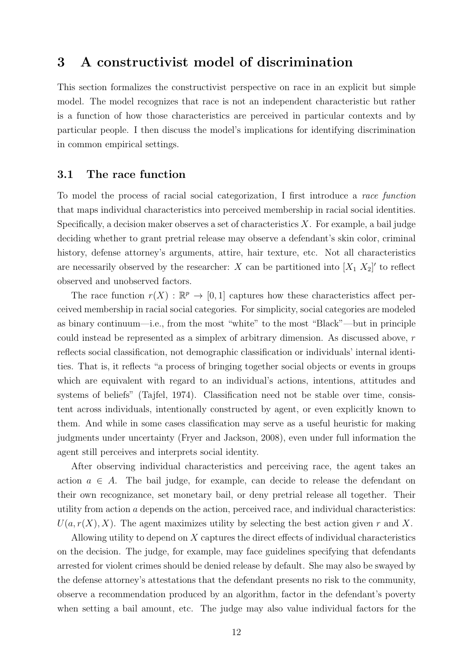## 3 A constructivist model of discrimination

This section formalizes the constructivist perspective on race in an explicit but simple model. The model recognizes that race is not an independent characteristic but rather is a function of how those characteristics are perceived in particular contexts and by particular people. I then discuss the model's implications for identifying discrimination in common empirical settings.

#### 3.1 The race function

To model the process of racial social categorization, I first introduce a race function that maps individual characteristics into perceived membership in racial social identities. Specifically, a decision maker observes a set of characteristics  $X$ . For example, a bail judge deciding whether to grant pretrial release may observe a defendant's skin color, criminal history, defense attorney's arguments, attire, hair texture, etc. Not all characteristics are necessarily observed by the researcher: X can be partitioned into  $[X_1, X_2]'$  to reflect observed and unobserved factors.

The race function  $r(X) : \mathbb{R}^p \to [0,1]$  captures how these characteristics affect perceived membership in racial social categories. For simplicity, social categories are modeled as binary continuum—i.e., from the most "white" to the most "Black"—but in principle could instead be represented as a simplex of arbitrary dimension. As discussed above, r reflects social classification, not demographic classification or individuals' internal identities. That is, it reflects "a process of bringing together social objects or events in groups which are equivalent with regard to an individual's actions, intentions, attitudes and systems of beliefs" (Tajfel, 1974). Classification need not be stable over time, consistent across individuals, intentionally constructed by agent, or even explicitly known to them. And while in some cases classification may serve as a useful heuristic for making judgments under uncertainty (Fryer and Jackson, 2008), even under full information the agent still perceives and interprets social identity.

After observing individual characteristics and perceiving race, the agent takes an action  $a \in A$ . The bail judge, for example, can decide to release the defendant on their own recognizance, set monetary bail, or deny pretrial release all together. Their utility from action a depends on the action, perceived race, and individual characteristics:  $U(a, r(X), X)$ . The agent maximizes utility by selecting the best action given r and X.

Allowing utility to depend on X captures the direct effects of individual characteristics on the decision. The judge, for example, may face guidelines specifying that defendants arrested for violent crimes should be denied release by default. She may also be swayed by the defense attorney's attestations that the defendant presents no risk to the community, observe a recommendation produced by an algorithm, factor in the defendant's poverty when setting a bail amount, etc. The judge may also value individual factors for the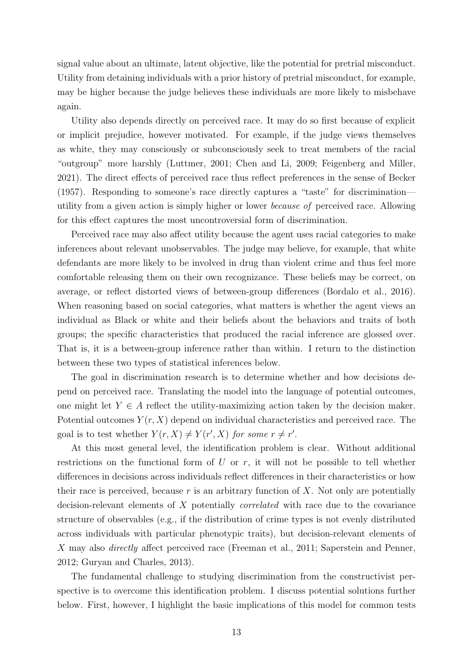signal value about an ultimate, latent objective, like the potential for pretrial misconduct. Utility from detaining individuals with a prior history of pretrial misconduct, for example, may be higher because the judge believes these individuals are more likely to misbehave again.

Utility also depends directly on perceived race. It may do so first because of explicit or implicit prejudice, however motivated. For example, if the judge views themselves as white, they may consciously or subconsciously seek to treat members of the racial "outgroup" more harshly (Luttmer, 2001; Chen and Li, 2009; Feigenberg and Miller, 2021). The direct effects of perceived race thus reflect preferences in the sense of Becker (1957). Responding to someone's race directly captures a "taste" for discrimination utility from a given action is simply higher or lower because of perceived race. Allowing for this effect captures the most uncontroversial form of discrimination.

Perceived race may also affect utility because the agent uses racial categories to make inferences about relevant unobservables. The judge may believe, for example, that white defendants are more likely to be involved in drug than violent crime and thus feel more comfortable releasing them on their own recognizance. These beliefs may be correct, on average, or reflect distorted views of between-group differences (Bordalo et al., 2016). When reasoning based on social categories, what matters is whether the agent views an individual as Black or white and their beliefs about the behaviors and traits of both groups; the specific characteristics that produced the racial inference are glossed over. That is, it is a between-group inference rather than within. I return to the distinction between these two types of statistical inferences below.

The goal in discrimination research is to determine whether and how decisions depend on perceived race. Translating the model into the language of potential outcomes, one might let  $Y \in A$  reflect the utility-maximizing action taken by the decision maker. Potential outcomes  $Y(r, X)$  depend on individual characteristics and perceived race. The goal is to test whether  $Y(r, X) \neq Y(r', X)$  for some  $r \neq r'$ .

At this most general level, the identification problem is clear. Without additional restrictions on the functional form of  $U$  or  $r$ , it will not be possible to tell whether differences in decisions across individuals reflect differences in their characteristics or how their race is perceived, because r is an arbitrary function of  $X$ . Not only are potentially decision-relevant elements of X potentially correlated with race due to the covariance structure of observables (e.g., if the distribution of crime types is not evenly distributed across individuals with particular phenotypic traits), but decision-relevant elements of X may also *directly* affect perceived race (Freeman et al., 2011; Saperstein and Penner, 2012; Guryan and Charles, 2013).

The fundamental challenge to studying discrimination from the constructivist perspective is to overcome this identification problem. I discuss potential solutions further below. First, however, I highlight the basic implications of this model for common tests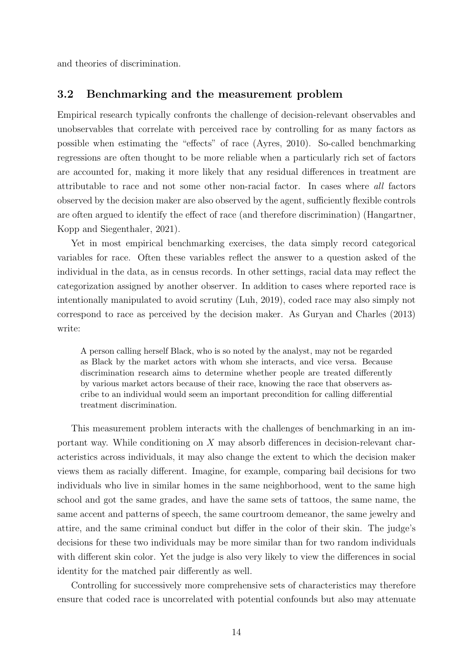and theories of discrimination.

#### 3.2 Benchmarking and the measurement problem

Empirical research typically confronts the challenge of decision-relevant observables and unobservables that correlate with perceived race by controlling for as many factors as possible when estimating the "effects" of race (Ayres, 2010). So-called benchmarking regressions are often thought to be more reliable when a particularly rich set of factors are accounted for, making it more likely that any residual differences in treatment are attributable to race and not some other non-racial factor. In cases where all factors observed by the decision maker are also observed by the agent, sufficiently flexible controls are often argued to identify the effect of race (and therefore discrimination) (Hangartner, Kopp and Siegenthaler, 2021).

Yet in most empirical benchmarking exercises, the data simply record categorical variables for race. Often these variables reflect the answer to a question asked of the individual in the data, as in census records. In other settings, racial data may reflect the categorization assigned by another observer. In addition to cases where reported race is intentionally manipulated to avoid scrutiny (Luh, 2019), coded race may also simply not correspond to race as perceived by the decision maker. As Guryan and Charles (2013) write:

A person calling herself Black, who is so noted by the analyst, may not be regarded as Black by the market actors with whom she interacts, and vice versa. Because discrimination research aims to determine whether people are treated differently by various market actors because of their race, knowing the race that observers ascribe to an individual would seem an important precondition for calling differential treatment discrimination.

This measurement problem interacts with the challenges of benchmarking in an important way. While conditioning on X may absorb differences in decision-relevant characteristics across individuals, it may also change the extent to which the decision maker views them as racially different. Imagine, for example, comparing bail decisions for two individuals who live in similar homes in the same neighborhood, went to the same high school and got the same grades, and have the same sets of tattoos, the same name, the same accent and patterns of speech, the same courtroom demeanor, the same jewelry and attire, and the same criminal conduct but differ in the color of their skin. The judge's decisions for these two individuals may be more similar than for two random individuals with different skin color. Yet the judge is also very likely to view the differences in social identity for the matched pair differently as well.

Controlling for successively more comprehensive sets of characteristics may therefore ensure that coded race is uncorrelated with potential confounds but also may attenuate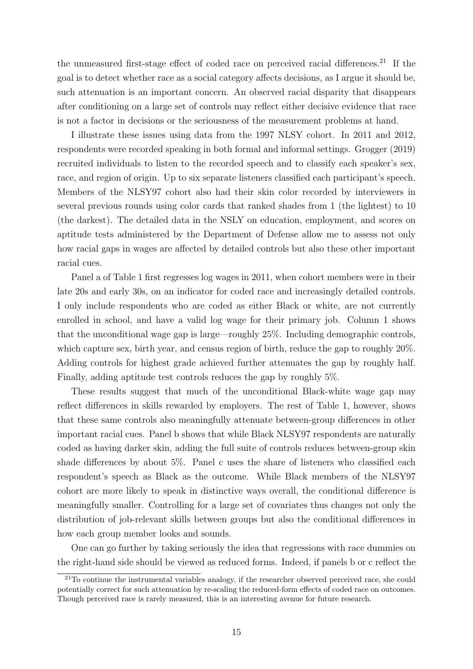the unmeasured first-stage effect of coded race on perceived racial differences.<sup>21</sup> If the goal is to detect whether race as a social category affects decisions, as I argue it should be, such attenuation is an important concern. An observed racial disparity that disappears after conditioning on a large set of controls may reflect either decisive evidence that race is not a factor in decisions or the seriousness of the measurement problems at hand.

I illustrate these issues using data from the 1997 NLSY cohort. In 2011 and 2012, respondents were recorded speaking in both formal and informal settings. Grogger (2019) recruited individuals to listen to the recorded speech and to classify each speaker's sex, race, and region of origin. Up to six separate listeners classified each participant's speech. Members of the NLSY97 cohort also had their skin color recorded by interviewers in several previous rounds using color cards that ranked shades from 1 (the lightest) to 10 (the darkest). The detailed data in the NSLY on education, employment, and scores on aptitude tests administered by the Department of Defense allow me to assess not only how racial gaps in wages are affected by detailed controls but also these other important racial cues.

Panel a of Table 1 first regresses log wages in 2011, when cohort members were in their late 20s and early 30s, on an indicator for coded race and increasingly detailed controls. I only include respondents who are coded as either Black or white, are not currently enrolled in school, and have a valid log wage for their primary job. Column 1 shows that the unconditional wage gap is large—roughly 25%. Including demographic controls, which capture sex, birth year, and census region of birth, reduce the gap to roughly 20%. Adding controls for highest grade achieved further attenuates the gap by roughly half. Finally, adding aptitude test controls reduces the gap by roughly 5%.

These results suggest that much of the unconditional Black-white wage gap may reflect differences in skills rewarded by employers. The rest of Table 1, however, shows that these same controls also meaningfully attenuate between-group differences in other important racial cues. Panel b shows that while Black NLSY97 respondents are naturally coded as having darker skin, adding the full suite of controls reduces between-group skin shade differences by about 5%. Panel c uses the share of listeners who classified each respondent's speech as Black as the outcome. While Black members of the NLSY97 cohort are more likely to speak in distinctive ways overall, the conditional difference is meaningfully smaller. Controlling for a large set of covariates thus changes not only the distribution of job-relevant skills between groups but also the conditional differences in how each group member looks and sounds.

One can go further by taking seriously the idea that regressions with race dummies on the right-hand side should be viewed as reduced forms. Indeed, if panels b or c reflect the

 $21$ To continue the instrumental variables analogy, if the researcher observed perceived race, she could potentially correct for such attenuation by re-scaling the reduced-form effects of coded race on outcomes. Though perceived race is rarely measured, this is an interesting avenue for future research.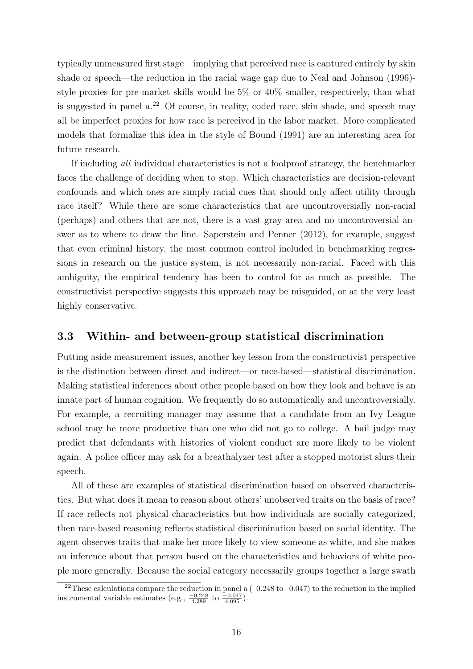typically unmeasured first stage—implying that perceived race is captured entirely by skin shade or speech—the reduction in the racial wage gap due to Neal and Johnson (1996) style proxies for pre-market skills would be 5% or 40% smaller, respectively, than what is suggested in panel a.<sup>22</sup> Of course, in reality, coded race, skin shade, and speech may all be imperfect proxies for how race is perceived in the labor market. More complicated models that formalize this idea in the style of Bound (1991) are an interesting area for future research.

If including all individual characteristics is not a foolproof strategy, the benchmarker faces the challenge of deciding when to stop. Which characteristics are decision-relevant confounds and which ones are simply racial cues that should only affect utility through race itself? While there are some characteristics that are uncontroversially non-racial (perhaps) and others that are not, there is a vast gray area and no uncontroversial answer as to where to draw the line. Saperstein and Penner (2012), for example, suggest that even criminal history, the most common control included in benchmarking regressions in research on the justice system, is not necessarily non-racial. Faced with this ambiguity, the empirical tendency has been to control for as much as possible. The constructivist perspective suggests this approach may be misguided, or at the very least highly conservative.

#### 3.3 Within- and between-group statistical discrimination

Putting aside measurement issues, another key lesson from the constructivist perspective is the distinction between direct and indirect—or race-based—statistical discrimination. Making statistical inferences about other people based on how they look and behave is an innate part of human cognition. We frequently do so automatically and uncontroversially. For example, a recruiting manager may assume that a candidate from an Ivy League school may be more productive than one who did not go to college. A bail judge may predict that defendants with histories of violent conduct are more likely to be violent again. A police officer may ask for a breathalyzer test after a stopped motorist slurs their speech.

All of these are examples of statistical discrimination based on observed characteristics. But what does it mean to reason about others' unobserved traits on the basis of race? If race reflects not physical characteristics but how individuals are socially categorized, then race-based reasoning reflects statistical discrimination based on social identity. The agent observes traits that make her more likely to view someone as white, and she makes an inference about that person based on the characteristics and behaviors of white people more generally. Because the social category necessarily groups together a large swath

<sup>&</sup>lt;sup>22</sup>These calculations compare the reduction in panel a  $(-0.248 \text{ to } -0.047)$  to the reduction in the implied instrumental variable estimates (e.g.,  $\frac{-0.248}{4.289}$  to  $\frac{-0.047}{4.095}$ ).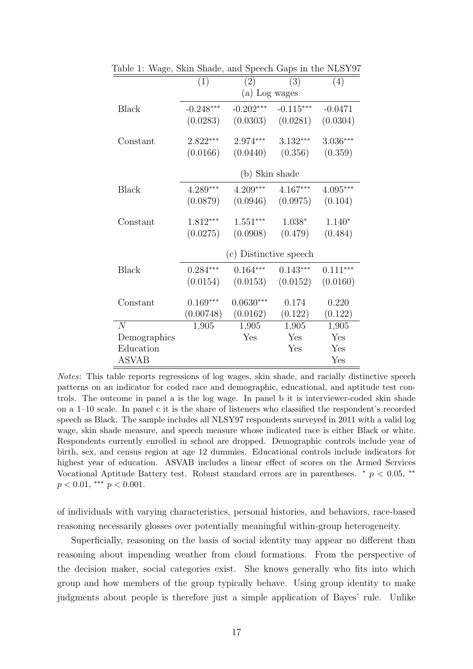|                | (1)                    | (2)         | (3)         | (4)        |
|----------------|------------------------|-------------|-------------|------------|
|                | (a) Log wages          |             |             |            |
| Black          | $-0.248***$            | $-0.202***$ | $-0.115***$ | $-0.0471$  |
|                | (0.0283)               | (0.0303)    | (0.0281)    | (0.0304)   |
| Constant       | $2.822***$             | $2.974***$  | $3.132***$  | $3.036***$ |
|                | (0.0166)               | (0.0440)    | (0.356)     | (0.359)    |
|                | (b) Skin shade         |             |             |            |
| Black          | $4.289***$             | 4.209***    | $4.167***$  | $4.095***$ |
|                | (0.0879)               | (0.0946)    | (0.0975)    | (0.104)    |
| Constant       | 1.812***               | $1.551***$  | $1.038*$    | $1.140*$   |
|                | (0.0275)               | (0.0908)    | (0.479)     | (0.484)    |
|                | (c) Distinctive speech |             |             |            |
| Black          | $0.284***$             | $0.164***$  | $0.143***$  | $0.111***$ |
|                | (0.0154)               | (0.0153)    | (0.0152)    | (0.0160)   |
| Constant       | $0.169***$             | $0.0630***$ | 0.174       | 0.220      |
|                | (0.00748)              | (0.0162)    | (0.122)     | (0.122)    |
| $\overline{N}$ | 1,905                  | 1,905       | 1,905       | 1,905      |
| Demographics   |                        | Yes         | Yes         | Yes        |
| Education      |                        |             | Yes         | Yes        |
| <b>ASVAB</b>   |                        |             |             | Yes        |

Table 1: Wage, Skin Shade, and Speech Gaps in the NLSY97

Notes: This table reports regressions of log wages, skin shade, and racially distinctive speech patterns on an indicator for coded race and demographic, educational, and aptitude test controls. The outcome in panel a is the log wage. In panel b it is interviewer-coded skin shade on a 1–10 scale. In panel c it is the share of listeners who classified the respondent's recorded speech as Black. The sample includes all NLSY97 respondents surveyed in 2011 with a valid log wage, skin shade measure, and speech measure whose indicated race is either Black or white. Respondents currently enrolled in school are dropped. Demographic controls include year of birth, sex, and census region at age 12 dummies. Educational controls include indicators for highest year of education. ASVAB includes a linear effect of scores on the Armed Services Vocational Aptitude Battery test. Robust standard errors are in parentheses.  $\alpha p \approx 0.05$ ,  $\alpha p$  $p < 0.01$ , \*\*\*  $p < 0.001$ .

of individuals with varying characteristics, personal histories, and behaviors, race-based reasoning necessarily glosses over potentially meaningful within-group heterogeneity.

Superficially, reasoning on the basis of social identity may appear no different than reasoning about impending weather from cloud formations. From the perspective of the decision maker, social categories exist. She knows generally who fits into which group and how members of the group typically behave. Using group identity to make judgments about people is therefore just a simple application of Bayes' rule. Unlike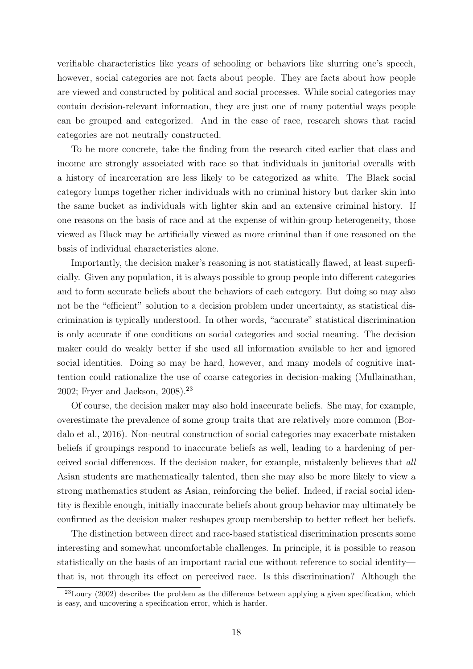verifiable characteristics like years of schooling or behaviors like slurring one's speech, however, social categories are not facts about people. They are facts about how people are viewed and constructed by political and social processes. While social categories may contain decision-relevant information, they are just one of many potential ways people can be grouped and categorized. And in the case of race, research shows that racial categories are not neutrally constructed.

To be more concrete, take the finding from the research cited earlier that class and income are strongly associated with race so that individuals in janitorial overalls with a history of incarceration are less likely to be categorized as white. The Black social category lumps together richer individuals with no criminal history but darker skin into the same bucket as individuals with lighter skin and an extensive criminal history. If one reasons on the basis of race and at the expense of within-group heterogeneity, those viewed as Black may be artificially viewed as more criminal than if one reasoned on the basis of individual characteristics alone.

Importantly, the decision maker's reasoning is not statistically flawed, at least superficially. Given any population, it is always possible to group people into different categories and to form accurate beliefs about the behaviors of each category. But doing so may also not be the "efficient" solution to a decision problem under uncertainty, as statistical discrimination is typically understood. In other words, "accurate" statistical discrimination is only accurate if one conditions on social categories and social meaning. The decision maker could do weakly better if she used all information available to her and ignored social identities. Doing so may be hard, however, and many models of cognitive inattention could rationalize the use of coarse categories in decision-making (Mullainathan, 2002; Fryer and Jackson, 2008).<sup>23</sup>

Of course, the decision maker may also hold inaccurate beliefs. She may, for example, overestimate the prevalence of some group traits that are relatively more common (Bordalo et al., 2016). Non-neutral construction of social categories may exacerbate mistaken beliefs if groupings respond to inaccurate beliefs as well, leading to a hardening of perceived social differences. If the decision maker, for example, mistakenly believes that all Asian students are mathematically talented, then she may also be more likely to view a strong mathematics student as Asian, reinforcing the belief. Indeed, if racial social identity is flexible enough, initially inaccurate beliefs about group behavior may ultimately be confirmed as the decision maker reshapes group membership to better reflect her beliefs.

The distinction between direct and race-based statistical discrimination presents some interesting and somewhat uncomfortable challenges. In principle, it is possible to reason statistically on the basis of an important racial cue without reference to social identity that is, not through its effect on perceived race. Is this discrimination? Although the

 $^{23}$ Loury (2002) describes the problem as the difference between applying a given specification, which is easy, and uncovering a specification error, which is harder.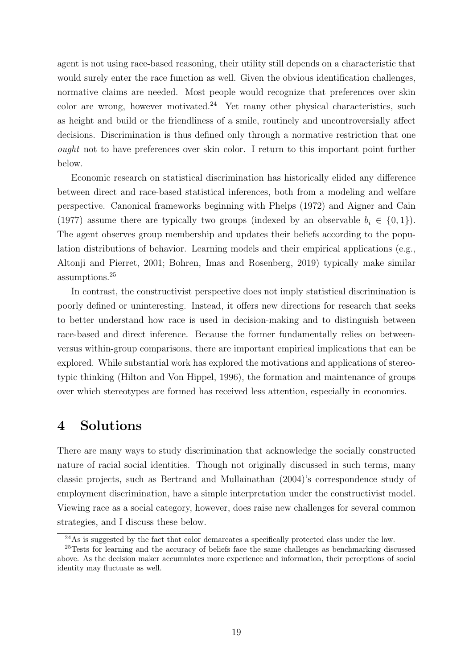agent is not using race-based reasoning, their utility still depends on a characteristic that would surely enter the race function as well. Given the obvious identification challenges, normative claims are needed. Most people would recognize that preferences over skin color are wrong, however motivated.<sup>24</sup> Yet many other physical characteristics, such as height and build or the friendliness of a smile, routinely and uncontroversially affect decisions. Discrimination is thus defined only through a normative restriction that one ought not to have preferences over skin color. I return to this important point further below.

Economic research on statistical discrimination has historically elided any difference between direct and race-based statistical inferences, both from a modeling and welfare perspective. Canonical frameworks beginning with Phelps (1972) and Aigner and Cain (1977) assume there are typically two groups (indexed by an observable  $b_i \in \{0,1\}$ ). The agent observes group membership and updates their beliefs according to the population distributions of behavior. Learning models and their empirical applications (e.g., Altonji and Pierret, 2001; Bohren, Imas and Rosenberg, 2019) typically make similar assumptions.<sup>25</sup>

In contrast, the constructivist perspective does not imply statistical discrimination is poorly defined or uninteresting. Instead, it offers new directions for research that seeks to better understand how race is used in decision-making and to distinguish between race-based and direct inference. Because the former fundamentally relies on betweenversus within-group comparisons, there are important empirical implications that can be explored. While substantial work has explored the motivations and applications of stereotypic thinking (Hilton and Von Hippel, 1996), the formation and maintenance of groups over which stereotypes are formed has received less attention, especially in economics.

## 4 Solutions

There are many ways to study discrimination that acknowledge the socially constructed nature of racial social identities. Though not originally discussed in such terms, many classic projects, such as Bertrand and Mullainathan (2004)'s correspondence study of employment discrimination, have a simple interpretation under the constructivist model. Viewing race as a social category, however, does raise new challenges for several common strategies, and I discuss these below.

 $^{24}$ As is suggested by the fact that color demarcates a specifically protected class under the law.

<sup>&</sup>lt;sup>25</sup>Tests for learning and the accuracy of beliefs face the same challenges as benchmarking discussed above. As the decision maker accumulates more experience and information, their perceptions of social identity may fluctuate as well.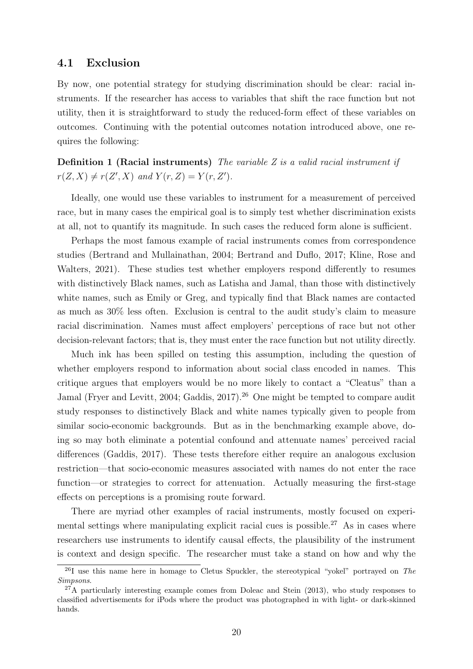#### 4.1 Exclusion

By now, one potential strategy for studying discrimination should be clear: racial instruments. If the researcher has access to variables that shift the race function but not utility, then it is straightforward to study the reduced-form effect of these variables on outcomes. Continuing with the potential outcomes notation introduced above, one requires the following:

**Definition 1 (Racial instruments)** The variable  $Z$  is a valid racial instrument if  $r(Z, X) \neq r(Z', X)$  and  $Y(r, Z) = Y(r, Z').$ 

Ideally, one would use these variables to instrument for a measurement of perceived race, but in many cases the empirical goal is to simply test whether discrimination exists at all, not to quantify its magnitude. In such cases the reduced form alone is sufficient.

Perhaps the most famous example of racial instruments comes from correspondence studies (Bertrand and Mullainathan, 2004; Bertrand and Duflo, 2017; Kline, Rose and Walters, 2021). These studies test whether employers respond differently to resumes with distinctively Black names, such as Latisha and Jamal, than those with distinctively white names, such as Emily or Greg, and typically find that Black names are contacted as much as 30% less often. Exclusion is central to the audit study's claim to measure racial discrimination. Names must affect employers' perceptions of race but not other decision-relevant factors; that is, they must enter the race function but not utility directly.

Much ink has been spilled on testing this assumption, including the question of whether employers respond to information about social class encoded in names. This critique argues that employers would be no more likely to contact a "Cleatus" than a Jamal (Fryer and Levitt, 2004; Gaddis, 2017).<sup>26</sup> One might be tempted to compare audit study responses to distinctively Black and white names typically given to people from similar socio-economic backgrounds. But as in the benchmarking example above, doing so may both eliminate a potential confound and attenuate names' perceived racial differences (Gaddis, 2017). These tests therefore either require an analogous exclusion restriction—that socio-economic measures associated with names do not enter the race function—or strategies to correct for attenuation. Actually measuring the first-stage effects on perceptions is a promising route forward.

There are myriad other examples of racial instruments, mostly focused on experimental settings where manipulating explicit racial cues is possible.<sup>27</sup> As in cases where researchers use instruments to identify causal effects, the plausibility of the instrument is context and design specific. The researcher must take a stand on how and why the

<sup>&</sup>lt;sup>26</sup>I use this name here in homage to Cletus Spuckler, the stereotypical "yokel" portrayed on The Simpsons.

 $27$ A particularly interesting example comes from Doleac and Stein (2013), who study responses to classified advertisements for iPods where the product was photographed in with light- or dark-skinned hands.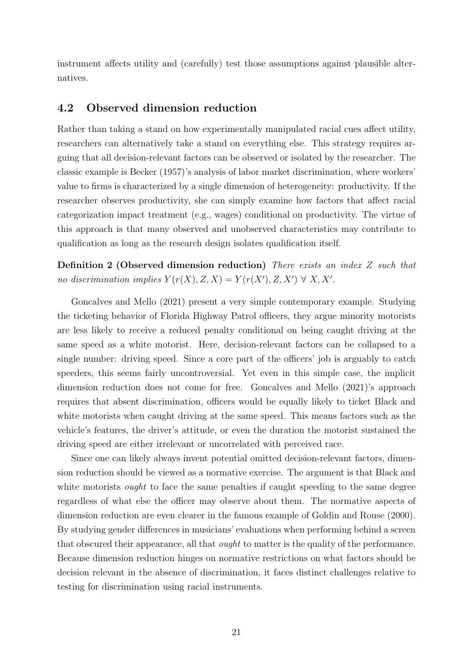instrument affects utility and (carefully) test those assumptions against plausible alternatives.

### 4.2 Observed dimension reduction

Rather than taking a stand on how experimentally manipulated racial cues affect utility, researchers can alternatively take a stand on everything else. This strategy requires arguing that all decision-relevant factors can be observed or isolated by the researcher. The classic example is Becker (1957)'s analysis of labor market discrimination, where workers' value to firms is characterized by a single dimension of heterogeneity: productivity. If the researcher observes productivity, she can simply examine how factors that affect racial categorization impact treatment (e.g., wages) conditional on productivity. The virtue of this approach is that many observed and unobserved characteristics may contribute to qualification as long as the research design isolates qualification itself.

Definition 2 (Observed dimension reduction) There exists an index Z such that no discrimination implies  $Y(r(X), Z, X) = Y(r(X'), Z, X') \forall X, X'.$ 

Goncalves and Mello (2021) present a very simple contemporary example. Studying the ticketing behavior of Florida Highway Patrol officers, they argue minority motorists are less likely to receive a reduced penalty conditional on being caught driving at the same speed as a white motorist. Here, decision-relevant factors can be collapsed to a single number: driving speed. Since a core part of the officers' job is arguably to catch speeders, this seems fairly uncontroversial. Yet even in this simple case, the implicit dimension reduction does not come for free. Goncalves and Mello (2021)'s approach requires that absent discrimination, officers would be equally likely to ticket Black and white motorists when caught driving at the same speed. This means factors such as the vehicle's features, the driver's attitude, or even the duration the motorist sustained the driving speed are either irrelevant or uncorrelated with perceived race.

Since one can likely always invent potential omitted decision-relevant factors, dimension reduction should be viewed as a normative exercise. The argument is that Black and white motorists *ought* to face the same penalties if caught speeding to the same degree regardless of what else the officer may observe about them. The normative aspects of dimension reduction are even clearer in the famous example of Goldin and Rouse (2000). By studying gender differences in musicians' evaluations when performing behind a screen that obscured their appearance, all that ought to matter is the quality of the performance. Because dimension reduction hinges on normative restrictions on what factors should be decision relevant in the absence of discrimination, it faces distinct challenges relative to testing for discrimination using racial instruments.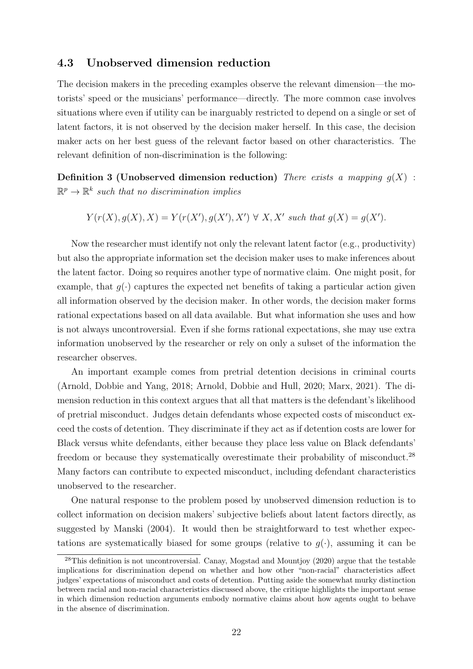#### 4.3 Unobserved dimension reduction

The decision makers in the preceding examples observe the relevant dimension—the motorists' speed or the musicians' performance—directly. The more common case involves situations where even if utility can be inarguably restricted to depend on a single or set of latent factors, it is not observed by the decision maker herself. In this case, the decision maker acts on her best guess of the relevant factor based on other characteristics. The relevant definition of non-discrimination is the following:

Definition 3 (Unobserved dimension reduction) There exists a mapping  $q(X)$ :  $\mathbb{R}^p \to \mathbb{R}^k$  such that no discrimination implies

$$
Y(r(X), g(X), X) = Y(r(X'), g(X'), X') \forall X, X' \text{ such that } g(X) = g(X').
$$

Now the researcher must identify not only the relevant latent factor (e.g., productivity) but also the appropriate information set the decision maker uses to make inferences about the latent factor. Doing so requires another type of normative claim. One might posit, for example, that  $g(\cdot)$  captures the expected net benefits of taking a particular action given all information observed by the decision maker. In other words, the decision maker forms rational expectations based on all data available. But what information she uses and how is not always uncontroversial. Even if she forms rational expectations, she may use extra information unobserved by the researcher or rely on only a subset of the information the researcher observes.

An important example comes from pretrial detention decisions in criminal courts (Arnold, Dobbie and Yang, 2018; Arnold, Dobbie and Hull, 2020; Marx, 2021). The dimension reduction in this context argues that all that matters is the defendant's likelihood of pretrial misconduct. Judges detain defendants whose expected costs of misconduct exceed the costs of detention. They discriminate if they act as if detention costs are lower for Black versus white defendants, either because they place less value on Black defendants' freedom or because they systematically overestimate their probability of misconduct.<sup>28</sup> Many factors can contribute to expected misconduct, including defendant characteristics unobserved to the researcher.

One natural response to the problem posed by unobserved dimension reduction is to collect information on decision makers' subjective beliefs about latent factors directly, as suggested by Manski (2004). It would then be straightforward to test whether expectations are systematically biased for some groups (relative to  $q(\cdot)$ , assuming it can be

 $^{28}$ This definition is not uncontroversial. Canay, Mogstad and Mountjoy (2020) argue that the testable implications for discrimination depend on whether and how other "non-racial" characteristics affect judges' expectations of misconduct and costs of detention. Putting aside the somewhat murky distinction between racial and non-racial characteristics discussed above, the critique highlights the important sense in which dimension reduction arguments embody normative claims about how agents ought to behave in the absence of discrimination.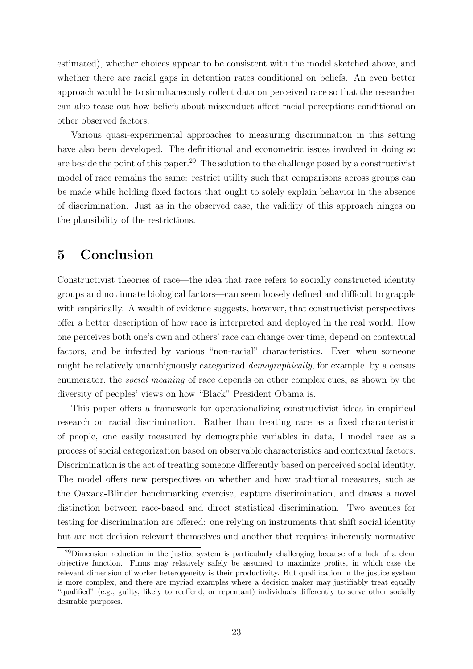estimated), whether choices appear to be consistent with the model sketched above, and whether there are racial gaps in detention rates conditional on beliefs. An even better approach would be to simultaneously collect data on perceived race so that the researcher can also tease out how beliefs about misconduct affect racial perceptions conditional on other observed factors.

Various quasi-experimental approaches to measuring discrimination in this setting have also been developed. The definitional and econometric issues involved in doing so are beside the point of this paper.<sup>29</sup> The solution to the challenge posed by a constructivist model of race remains the same: restrict utility such that comparisons across groups can be made while holding fixed factors that ought to solely explain behavior in the absence of discrimination. Just as in the observed case, the validity of this approach hinges on the plausibility of the restrictions.

## 5 Conclusion

Constructivist theories of race—the idea that race refers to socially constructed identity groups and not innate biological factors—can seem loosely defined and difficult to grapple with empirically. A wealth of evidence suggests, however, that constructivist perspectives offer a better description of how race is interpreted and deployed in the real world. How one perceives both one's own and others' race can change over time, depend on contextual factors, and be infected by various "non-racial" characteristics. Even when someone might be relatively unambiguously categorized demographically, for example, by a census enumerator, the social meaning of race depends on other complex cues, as shown by the diversity of peoples' views on how "Black" President Obama is.

This paper offers a framework for operationalizing constructivist ideas in empirical research on racial discrimination. Rather than treating race as a fixed characteristic of people, one easily measured by demographic variables in data, I model race as a process of social categorization based on observable characteristics and contextual factors. Discrimination is the act of treating someone differently based on perceived social identity. The model offers new perspectives on whether and how traditional measures, such as the Oaxaca-Blinder benchmarking exercise, capture discrimination, and draws a novel distinction between race-based and direct statistical discrimination. Two avenues for testing for discrimination are offered: one relying on instruments that shift social identity but are not decision relevant themselves and another that requires inherently normative

<sup>29</sup>Dimension reduction in the justice system is particularly challenging because of a lack of a clear objective function. Firms may relatively safely be assumed to maximize profits, in which case the relevant dimension of worker heterogeneity is their productivity. But qualification in the justice system is more complex, and there are myriad examples where a decision maker may justifiably treat equally "qualified" (e.g., guilty, likely to reoffend, or repentant) individuals differently to serve other socially desirable purposes.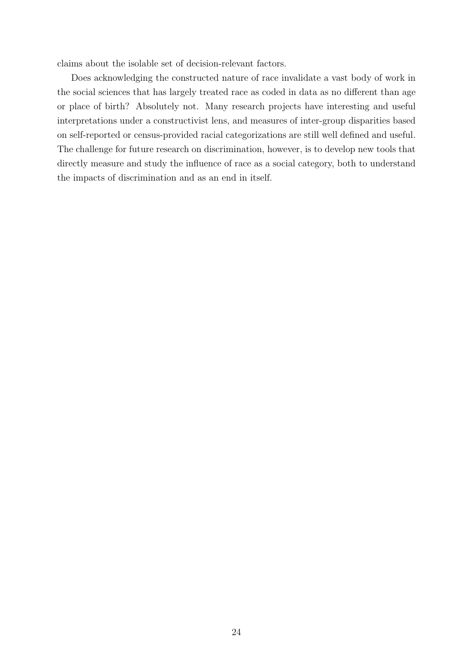claims about the isolable set of decision-relevant factors.

Does acknowledging the constructed nature of race invalidate a vast body of work in the social sciences that has largely treated race as coded in data as no different than age or place of birth? Absolutely not. Many research projects have interesting and useful interpretations under a constructivist lens, and measures of inter-group disparities based on self-reported or census-provided racial categorizations are still well defined and useful. The challenge for future research on discrimination, however, is to develop new tools that directly measure and study the influence of race as a social category, both to understand the impacts of discrimination and as an end in itself.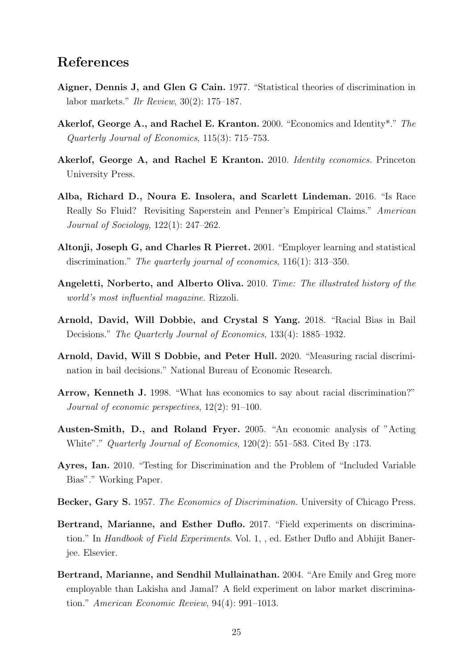## References

- Aigner, Dennis J, and Glen G Cain. 1977. "Statistical theories of discrimination in labor markets." Ilr Review, 30(2): 175–187.
- Akerlof, George A., and Rachel E. Kranton. 2000. "Economics and Identity\*." The Quarterly Journal of Economics, 115(3): 715–753.
- Akerlof, George A, and Rachel E Kranton. 2010. *Identity economics*. Princeton University Press.
- Alba, Richard D., Noura E. Insolera, and Scarlett Lindeman. 2016. "Is Race Really So Fluid? Revisiting Saperstein and Penner's Empirical Claims." American Journal of Sociology, 122(1): 247–262.
- Altonji, Joseph G, and Charles R Pierret. 2001. "Employer learning and statistical discrimination." The quarterly journal of economics, 116(1): 313–350.
- Angeletti, Norberto, and Alberto Oliva. 2010. Time: The illustrated history of the world's most influential magazine. Rizzoli.
- Arnold, David, Will Dobbie, and Crystal S Yang. 2018. "Racial Bias in Bail Decisions." The Quarterly Journal of Economics, 133(4): 1885–1932.
- Arnold, David, Will S Dobbie, and Peter Hull. 2020. "Measuring racial discrimination in bail decisions." National Bureau of Economic Research.
- Arrow, Kenneth J. 1998. "What has economics to say about racial discrimination?" Journal of economic perspectives, 12(2): 91–100.
- Austen-Smith, D., and Roland Fryer. 2005. "An economic analysis of "Acting White"." *Quarterly Journal of Economics*, 120(2): 551–583. Cited By :173.
- Ayres, Ian. 2010. "Testing for Discrimination and the Problem of "Included Variable Bias"." Working Paper.
- Becker, Gary S. 1957. The Economics of Discrimination. University of Chicago Press.
- Bertrand, Marianne, and Esther Duflo. 2017. "Field experiments on discrimination." In Handbook of Field Experiments. Vol. 1, , ed. Esther Duflo and Abhijit Banerjee. Elsevier.
- Bertrand, Marianne, and Sendhil Mullainathan. 2004. "Are Emily and Greg more employable than Lakisha and Jamal? A field experiment on labor market discrimination." American Economic Review, 94(4): 991–1013.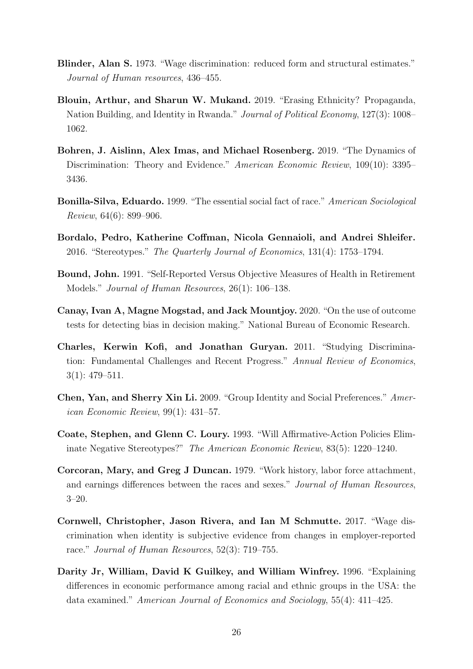- Blinder, Alan S. 1973. "Wage discrimination: reduced form and structural estimates." Journal of Human resources, 436–455.
- Blouin, Arthur, and Sharun W. Mukand. 2019. "Erasing Ethnicity? Propaganda, Nation Building, and Identity in Rwanda." Journal of Political Economy, 127(3): 1008– 1062.
- Bohren, J. Aislinn, Alex Imas, and Michael Rosenberg. 2019. "The Dynamics of Discrimination: Theory and Evidence." American Economic Review, 109(10): 3395– 3436.
- Bonilla-Silva, Eduardo. 1999. "The essential social fact of race." American Sociological Review, 64(6): 899–906.
- Bordalo, Pedro, Katherine Coffman, Nicola Gennaioli, and Andrei Shleifer. 2016. "Stereotypes." The Quarterly Journal of Economics, 131(4): 1753–1794.
- Bound, John. 1991. "Self-Reported Versus Objective Measures of Health in Retirement Models." Journal of Human Resources, 26(1): 106–138.
- Canay, Ivan A, Magne Mogstad, and Jack Mountjoy. 2020. "On the use of outcome tests for detecting bias in decision making." National Bureau of Economic Research.
- Charles, Kerwin Kofi, and Jonathan Guryan. 2011. "Studying Discrimination: Fundamental Challenges and Recent Progress." Annual Review of Economics, 3(1): 479–511.
- Chen, Yan, and Sherry Xin Li. 2009. "Group Identity and Social Preferences." American Economic Review, 99(1): 431–57.
- Coate, Stephen, and Glenn C. Loury. 1993. "Will Affirmative-Action Policies Eliminate Negative Stereotypes?" The American Economic Review, 83(5): 1220–1240.
- Corcoran, Mary, and Greg J Duncan. 1979. "Work history, labor force attachment, and earnings differences between the races and sexes." Journal of Human Resources, 3–20.
- Cornwell, Christopher, Jason Rivera, and Ian M Schmutte. 2017. "Wage discrimination when identity is subjective evidence from changes in employer-reported race." Journal of Human Resources, 52(3): 719–755.
- Darity Jr, William, David K Guilkey, and William Winfrey. 1996. "Explaining differences in economic performance among racial and ethnic groups in the USA: the data examined." American Journal of Economics and Sociology, 55(4): 411–425.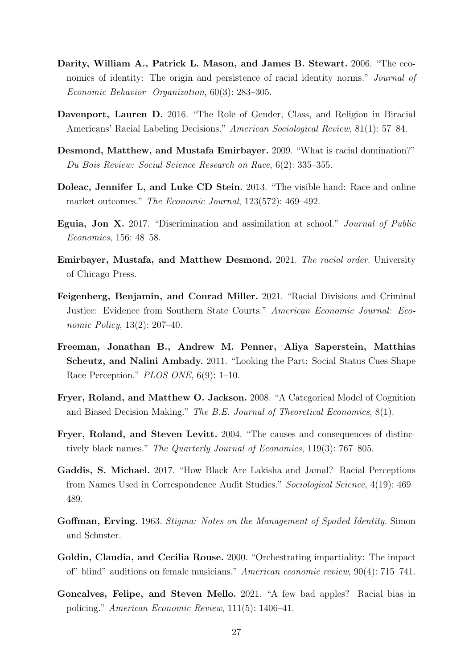- Darity, William A., Patrick L. Mason, and James B. Stewart. 2006. "The economics of identity: The origin and persistence of racial identity norms." *Journal of* Economic Behavior Organization, 60(3): 283–305.
- Davenport, Lauren D. 2016. "The Role of Gender, Class, and Religion in Biracial Americans' Racial Labeling Decisions." American Sociological Review, 81(1): 57–84.
- Desmond, Matthew, and Mustafa Emirbayer. 2009. "What is racial domination?" Du Bois Review: Social Science Research on Race, 6(2): 335–355.
- Doleac, Jennifer L, and Luke CD Stein. 2013. "The visible hand: Race and online market outcomes." The Economic Journal, 123(572): 469–492.
- Eguia, Jon X. 2017. "Discrimination and assimilation at school." Journal of Public Economics, 156: 48–58.
- Emirbayer, Mustafa, and Matthew Desmond. 2021. The racial order. University of Chicago Press.
- Feigenberg, Benjamin, and Conrad Miller. 2021. "Racial Divisions and Criminal Justice: Evidence from Southern State Courts." American Economic Journal: Economic Policy, 13(2): 207–40.
- Freeman, Jonathan B., Andrew M. Penner, Aliya Saperstein, Matthias Scheutz, and Nalini Ambady. 2011. "Looking the Part: Social Status Cues Shape Race Perception." PLOS ONE, 6(9): 1–10.
- Fryer, Roland, and Matthew O. Jackson. 2008. "A Categorical Model of Cognition and Biased Decision Making." The B.E. Journal of Theoretical Economics, 8(1).
- Fryer, Roland, and Steven Levitt. 2004. "The causes and consequences of distinctively black names." The Quarterly Journal of Economics, 119(3): 767–805.
- Gaddis, S. Michael. 2017. "How Black Are Lakisha and Jamal? Racial Perceptions from Names Used in Correspondence Audit Studies." Sociological Science, 4(19): 469– 489.
- Goffman, Erving. 1963. Stigma: Notes on the Management of Spoiled Identity. Simon and Schuster.
- Goldin, Claudia, and Cecilia Rouse. 2000. "Orchestrating impartiality: The impact of" blind" auditions on female musicians." American economic review, 90(4): 715–741.
- Goncalves, Felipe, and Steven Mello. 2021. "A few bad apples? Racial bias in policing." American Economic Review, 111(5): 1406–41.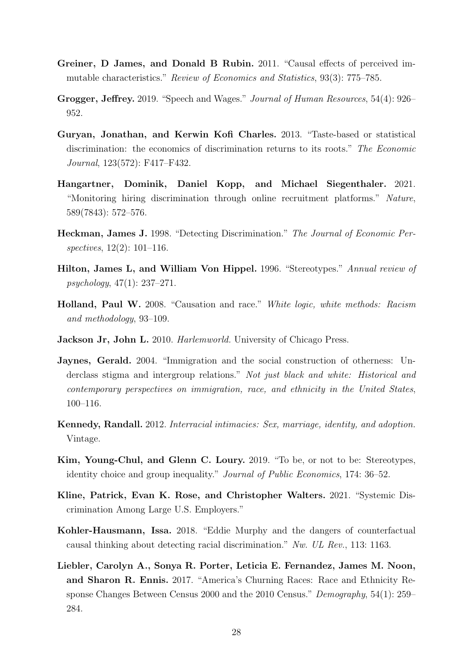- Greiner, D James, and Donald B Rubin. 2011. "Causal effects of perceived immutable characteristics." Review of Economics and Statistics, 93(3): 775–785.
- Grogger, Jeffrey. 2019. "Speech and Wages." Journal of Human Resources, 54(4): 926– 952.
- Guryan, Jonathan, and Kerwin Kofi Charles. 2013. "Taste-based or statistical discrimination: the economics of discrimination returns to its roots." The Economic Journal, 123(572): F417–F432.
- Hangartner, Dominik, Daniel Kopp, and Michael Siegenthaler. 2021. "Monitoring hiring discrimination through online recruitment platforms." Nature, 589(7843): 572–576.
- Heckman, James J. 1998. "Detecting Discrimination." The Journal of Economic Perspectives, 12(2): 101–116.
- Hilton, James L, and William Von Hippel. 1996. "Stereotypes." Annual review of psychology, 47(1): 237–271.
- Holland, Paul W. 2008. "Causation and race." White logic, white methods: Racism and methodology, 93–109.
- Jackson Jr, John L. 2010. *Harlemworld*. University of Chicago Press.
- Jaynes, Gerald. 2004. "Immigration and the social construction of otherness: Underclass stigma and intergroup relations." Not just black and white: Historical and contemporary perspectives on immigration, race, and ethnicity in the United States, 100–116.
- Kennedy, Randall. 2012. Interracial intimacies: Sex, marriage, identity, and adoption. Vintage.
- Kim, Young-Chul, and Glenn C. Loury. 2019. "To be, or not to be: Stereotypes, identity choice and group inequality." Journal of Public Economics, 174: 36–52.
- Kline, Patrick, Evan K. Rose, and Christopher Walters. 2021. "Systemic Discrimination Among Large U.S. Employers."
- Kohler-Hausmann, Issa. 2018. "Eddie Murphy and the dangers of counterfactual causal thinking about detecting racial discrimination." Nw. UL Rev., 113: 1163.
- Liebler, Carolyn A., Sonya R. Porter, Leticia E. Fernandez, James M. Noon, and Sharon R. Ennis. 2017. "America's Churning Races: Race and Ethnicity Response Changes Between Census 2000 and the 2010 Census." Demography, 54(1): 259– 284.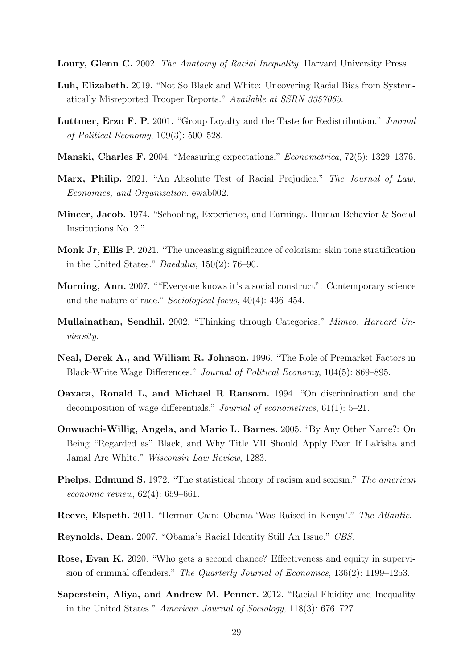- Loury, Glenn C. 2002. The Anatomy of Racial Inequality. Harvard University Press.
- Luh, Elizabeth. 2019. "Not So Black and White: Uncovering Racial Bias from Systematically Misreported Trooper Reports." Available at SSRN 3357063.
- Luttmer, Erzo F. P. 2001. "Group Loyalty and the Taste for Redistribution." Journal of Political Economy, 109(3): 500–528.
- Manski, Charles F. 2004. "Measuring expectations." Econometrica, 72(5): 1329–1376.
- Marx, Philip. 2021. "An Absolute Test of Racial Prejudice." The Journal of Law, Economics, and Organization. ewab002.
- Mincer, Jacob. 1974. "Schooling, Experience, and Earnings. Human Behavior & Social Institutions No. 2."
- Monk Jr, Ellis P. 2021. "The unceasing significance of colorism: skin tone stratification in the United States." Daedalus, 150(2): 76–90.
- Morning, Ann. 2007. ""Everyone knows it's a social construct": Contemporary science and the nature of race." Sociological focus, 40(4): 436–454.
- Mullainathan, Sendhil. 2002. "Thinking through Categories." Mimeo, Harvard Unviersity.
- Neal, Derek A., and William R. Johnson. 1996. "The Role of Premarket Factors in Black-White Wage Differences." Journal of Political Economy, 104(5): 869–895.
- Oaxaca, Ronald L, and Michael R Ransom. 1994. "On discrimination and the decomposition of wage differentials." Journal of econometrics, 61(1): 5–21.
- Onwuachi-Willig, Angela, and Mario L. Barnes. 2005. "By Any Other Name?: On Being "Regarded as" Black, and Why Title VII Should Apply Even If Lakisha and Jamal Are White." Wisconsin Law Review, 1283.
- Phelps, Edmund S. 1972. "The statistical theory of racism and sexism." The american economic review, 62(4): 659–661.
- Reeve, Elspeth. 2011. "Herman Cain: Obama 'Was Raised in Kenya'." The Atlantic.
- Reynolds, Dean. 2007. "Obama's Racial Identity Still An Issue." CBS.
- Rose, Evan K. 2020. "Who gets a second chance? Effectiveness and equity in supervision of criminal offenders." The Quarterly Journal of Economics, 136(2): 1199–1253.
- Saperstein, Aliya, and Andrew M. Penner. 2012. "Racial Fluidity and Inequality in the United States." American Journal of Sociology, 118(3): 676–727.